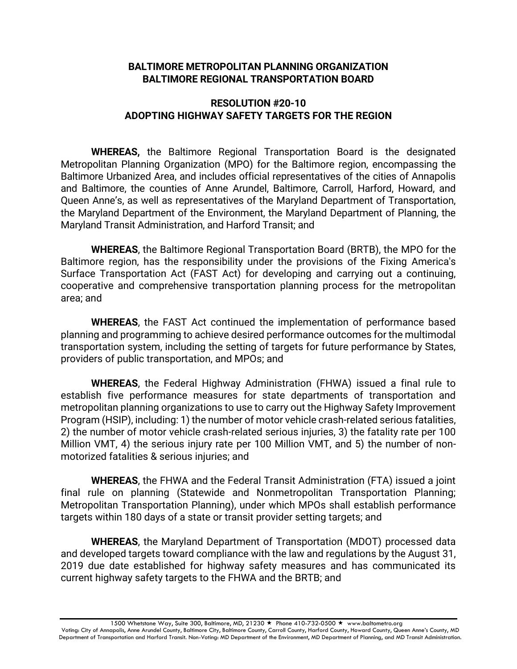#### **BALTIMORE METROPOLITAN PLANNING ORGANIZATION BALTIMORE REGIONAL TRANSPORTATION BOARD**

#### **RESOLUTION #20-10 ADOPTING HIGHWAY SAFETY TARGETS FOR THE REGION**

**WHEREAS,** the Baltimore Regional Transportation Board is the designated Metropolitan Planning Organization (MPO) for the Baltimore region, encompassing the Baltimore Urbanized Area, and includes official representatives of the cities of Annapolis and Baltimore, the counties of Anne Arundel, Baltimore, Carroll, Harford, Howard, and Queen Anne's, as well as representatives of the Maryland Department of Transportation, the Maryland Department of the Environment, the Maryland Department of Planning, the Maryland Transit Administration, and Harford Transit; and

**WHEREAS**, the Baltimore Regional Transportation Board (BRTB), the MPO for the Baltimore region, has the responsibility under the provisions of the Fixing America's Surface Transportation Act (FAST Act) for developing and carrying out a continuing, cooperative and comprehensive transportation planning process for the metropolitan area; and

**WHEREAS**, the FAST Act continued the implementation of performance based planning and programming to achieve desired performance outcomes for the multimodal transportation system, including the setting of targets for future performance by States, providers of public transportation, and MPOs; and

**WHEREAS**, the Federal Highway Administration (FHWA) issued a final rule to establish five performance measures for state departments of transportation and metropolitan planning organizations to use to carry out the Highway Safety Improvement Program (HSIP), including: 1) the number of motor vehicle crash-related serious fatalities, 2) the number of motor vehicle crash-related serious injuries, 3) the fatality rate per 100 Million VMT, 4) the serious injury rate per 100 Million VMT, and 5) the number of nonmotorized fatalities & serious injuries; and

**WHEREAS**, the FHWA and the Federal Transit Administration (FTA) issued a joint final rule on planning (Statewide and Nonmetropolitan Transportation Planning; Metropolitan Transportation Planning), under which MPOs shall establish performance targets within 180 days of a state or transit provider setting targets; and

**WHEREAS**, the Maryland Department of Transportation (MDOT) processed data and developed targets toward compliance with the law and regulations by the August 31, 2019 due date established for highway safety measures and has communicated its current highway safety targets to the FHWA and the BRTB; and

1500 Whetstone Way, Suite 300, Baltimore, MD, 21230 ★ Phone 410-732-0500 ★ www.baltometro.org

Voting: City of Annapolis, Anne Arundel County, Baltimore City, Baltimore County, Carroll County, Harford County, Howard County, Queen Anne's County, MD Department of Transportation and Harford Transit. Non-Voting: MD Department of the Environment, MD Department of Planning, and MD Transit Administration.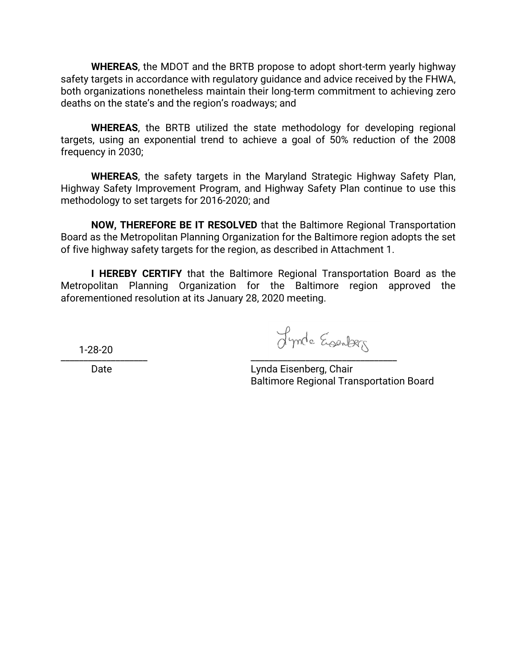**WHEREAS**, the MDOT and the BRTB propose to adopt short-term yearly highway safety targets in accordance with regulatory guidance and advice received by the FHWA, both organizations nonetheless maintain their long-term commitment to achieving zero deaths on the state's and the region's roadways; and

**WHEREAS**, the BRTB utilized the state methodology for developing regional targets, using an exponential trend to achieve a goal of 50% reduction of the 2008 frequency in 2030;

**WHEREAS**, the safety targets in the Maryland Strategic Highway Safety Plan, Highway Safety Improvement Program, and Highway Safety Plan continue to use this methodology to set targets for 2016-2020; and

**NOW, THEREFORE BE IT RESOLVED** that the Baltimore Regional Transportation Board as the Metropolitan Planning Organization for the Baltimore region adopts the set of five highway safety targets for the region, as described in Attachment 1.

**I HEREBY CERTIFY** that the Baltimore Regional Transportation Board as the Metropolitan Planning Organization for the Baltimore region approved the aforementioned resolution at its January 28, 2020 meeting.

\_\_\_\_\_\_\_\_\_\_\_\_\_\_\_\_\_\_\_ \_\_\_\_\_\_\_\_\_\_\_\_\_\_\_\_\_\_\_\_\_\_\_\_\_\_\_\_\_\_\_\_ 1-28-20

Date **Lynda Eisenberg, Chair** Baltimore Regional Transportation Board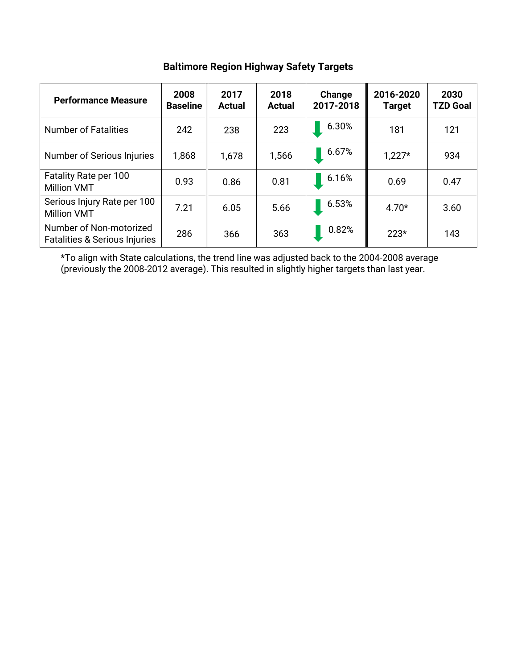| <b>Performance Measure</b>                                          | 2008<br><b>Baseline</b> | 2017<br><b>Actual</b> | 2018<br><b>Actual</b> | Change<br>2017-2018 | 2016-2020<br><b>Target</b> | 2030<br><b>TZD Goal</b> |
|---------------------------------------------------------------------|-------------------------|-----------------------|-----------------------|---------------------|----------------------------|-------------------------|
| <b>Number of Fatalities</b>                                         | 242                     | 238                   | 223                   | 6.30%               | 181                        | 121                     |
| Number of Serious Injuries                                          | 1,868                   | 1,678                 | 1,566                 | 6.67%               | $1,227*$                   | 934                     |
| Fatality Rate per 100<br><b>Million VMT</b>                         | 0.93                    | 0.86                  | 0.81                  | 6.16%               | 0.69                       | 0.47                    |
| Serious Injury Rate per 100<br><b>Million VMT</b>                   | 7.21                    | 6.05                  | 5.66                  | 6.53%               | $4.70*$                    | 3.60                    |
| Number of Non-motorized<br><b>Fatalities &amp; Serious Injuries</b> | 286                     | 366                   | 363                   | 0.82%               | $223*$                     | 143                     |

# **Baltimore Region Highway Safety Targets**

\*To align with State calculations, the trend line was adjusted back to the 2004-2008 average (previously the 2008-2012 average). This resulted in slightly higher targets than last year.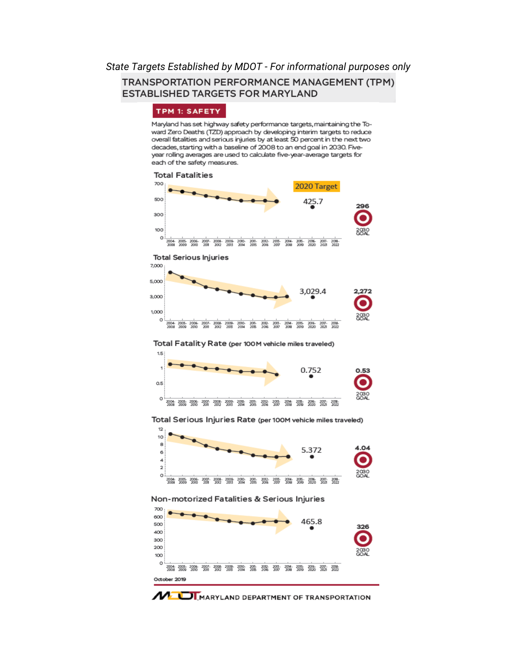### *State Targets Established by MDOT - For informational purposes only*TRANSPORTATION PERFORMANCE MANAGEMENT (TPM) **ESTABLISHED TARGETS FOR MARYLAND**

#### TPM 1: SAFETY

Maryland has set highway safety performance targets, maintaining the Toward Zero Deaths (TZD) approach by developing interim targets to reduce overall fatalities and serious injuries by at least 50 percent in the next two decades, starting with a baseline of 2008 to an end goal in 2030. Fiveyear rolling averages are used to calculate five-year-average targets for each of the safety measures.



**MEDI** MARYLAND DEPARTMENT OF TRANSPORTATION